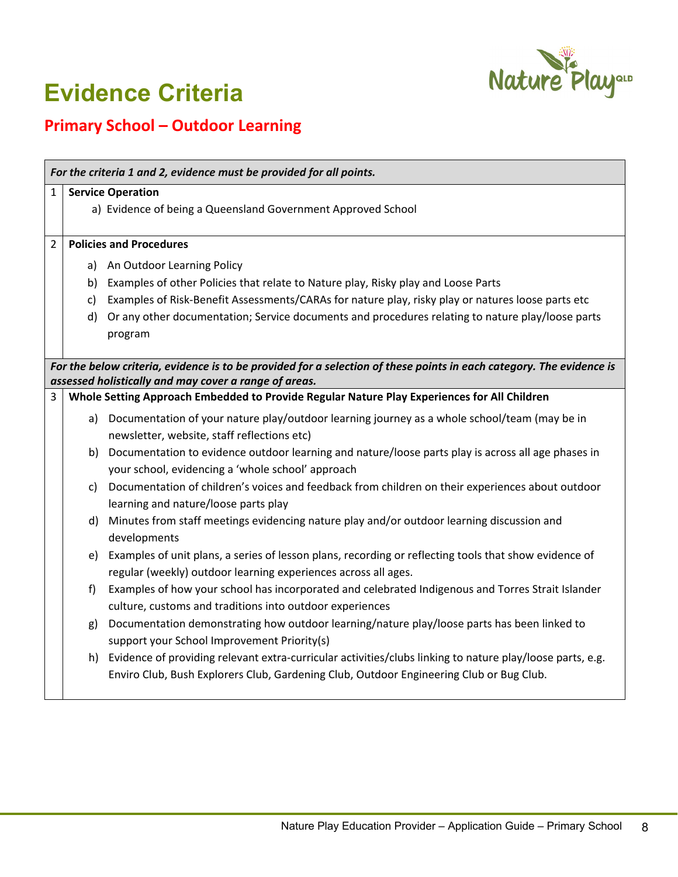

## **Evidence Criteria**

## **Primary School – Outdoor Learning**

| For the criteria 1 and 2, evidence must be provided for all points.                                                  |                                |                                                                                                                                                                         |  |  |
|----------------------------------------------------------------------------------------------------------------------|--------------------------------|-------------------------------------------------------------------------------------------------------------------------------------------------------------------------|--|--|
| $\mathbf{1}$                                                                                                         | <b>Service Operation</b>       |                                                                                                                                                                         |  |  |
|                                                                                                                      |                                | a) Evidence of being a Queensland Government Approved School                                                                                                            |  |  |
| $\overline{2}$                                                                                                       | <b>Policies and Procedures</b> |                                                                                                                                                                         |  |  |
|                                                                                                                      |                                | a) An Outdoor Learning Policy                                                                                                                                           |  |  |
|                                                                                                                      | b)                             | Examples of other Policies that relate to Nature play, Risky play and Loose Parts                                                                                       |  |  |
|                                                                                                                      | $\mathsf{C}$                   | Examples of Risk-Benefit Assessments/CARAs for nature play, risky play or natures loose parts etc                                                                       |  |  |
|                                                                                                                      | d)                             | Or any other documentation; Service documents and procedures relating to nature play/loose parts                                                                        |  |  |
|                                                                                                                      |                                | program                                                                                                                                                                 |  |  |
| For the below criteria, evidence is to be provided for a selection of these points in each category. The evidence is |                                |                                                                                                                                                                         |  |  |
| assessed holistically and may cover a range of areas.                                                                |                                |                                                                                                                                                                         |  |  |
| 3                                                                                                                    |                                | Whole Setting Approach Embedded to Provide Regular Nature Play Experiences for All Children                                                                             |  |  |
|                                                                                                                      |                                | a) Documentation of your nature play/outdoor learning journey as a whole school/team (may be in<br>newsletter, website, staff reflections etc)                          |  |  |
|                                                                                                                      |                                | b) Documentation to evidence outdoor learning and nature/loose parts play is across all age phases in<br>your school, evidencing a 'whole school' approach              |  |  |
|                                                                                                                      | C)                             | Documentation of children's voices and feedback from children on their experiences about outdoor<br>learning and nature/loose parts play                                |  |  |
|                                                                                                                      |                                | d) Minutes from staff meetings evidencing nature play and/or outdoor learning discussion and<br>developments                                                            |  |  |
|                                                                                                                      | e)                             | Examples of unit plans, a series of lesson plans, recording or reflecting tools that show evidence of<br>regular (weekly) outdoor learning experiences across all ages. |  |  |
|                                                                                                                      | f)                             | Examples of how your school has incorporated and celebrated Indigenous and Torres Strait Islander                                                                       |  |  |
|                                                                                                                      |                                | culture, customs and traditions into outdoor experiences                                                                                                                |  |  |
|                                                                                                                      | g)                             | Documentation demonstrating how outdoor learning/nature play/loose parts has been linked to                                                                             |  |  |
|                                                                                                                      |                                | support your School Improvement Priority(s)                                                                                                                             |  |  |
|                                                                                                                      |                                | h) Evidence of providing relevant extra-curricular activities/clubs linking to nature play/loose parts, e.g.                                                            |  |  |
|                                                                                                                      |                                | Enviro Club, Bush Explorers Club, Gardening Club, Outdoor Engineering Club or Bug Club.                                                                                 |  |  |